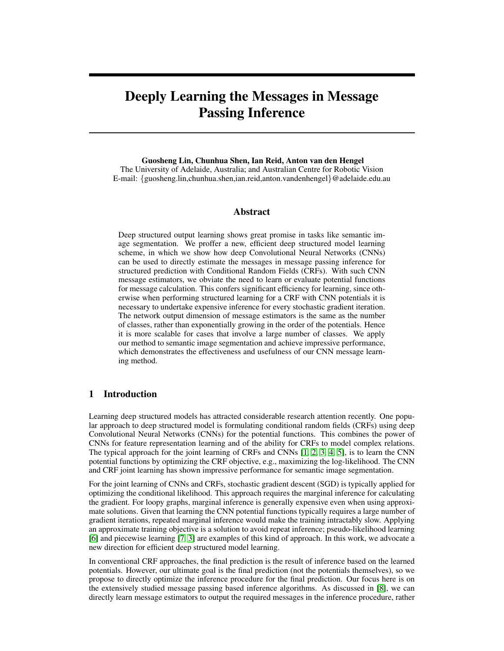# Deeply Learning the Messages in Message Passing Inference

Guosheng Lin, Chunhua Shen, Ian Reid, Anton van den Hengel The University of Adelaide, Australia; and Australian Centre for Robotic Vision E-mail: {guosheng.lin,chunhua.shen,ian.reid,anton.vandenhengel}@adelaide.edu.au

## Abstract

Deep structured output learning shows great promise in tasks like semantic image segmentation. We proffer a new, efficient deep structured model learning scheme, in which we show how deep Convolutional Neural Networks (CNNs) can be used to directly estimate the messages in message passing inference for structured prediction with Conditional Random Fields (CRFs). With such CNN message estimators, we obviate the need to learn or evaluate potential functions for message calculation. This confers significant efficiency for learning, since otherwise when performing structured learning for a CRF with CNN potentials it is necessary to undertake expensive inference for every stochastic gradient iteration. The network output dimension of message estimators is the same as the number of classes, rather than exponentially growing in the order of the potentials. Hence it is more scalable for cases that involve a large number of classes. We apply our method to semantic image segmentation and achieve impressive performance, which demonstrates the effectiveness and usefulness of our CNN message learning method.

## 1 Introduction

Learning deep structured models has attracted considerable research attention recently. One popular approach to deep structured model is formulating conditional random fields (CRFs) using deep Convolutional Neural Networks (CNNs) for the potential functions. This combines the power of CNNs for feature representation learning and of the ability for CRFs to model complex relations. The typical approach for the joint learning of CRFs and CNNs [1, 2, 3, 4, 5], is to learn the CNN potential functions by optimizing the CRF objective, e.g., maximizing the log-likelihood. The CNN and CRF joint learning has shown impressive performance for semantic image segmentation.

For the joint learning of CNNs and CRFs, stochastic gradient descent (SGD) is typically applied for optimizing the conditional likelihood. This approach requires the marginal inference for calculating the gradient. For loopy graphs, marginal inference is generally expensive even when using approximate solutions. Given that learning the CNN potential functions typically requires a large number of gradient iterations, repeated marginal inference would make the training intractably slow. Applying an approximate training objective is a solution to avoid repeat inference; pseudo-likelihood learning [6] and piecewise learning [7, 3] are examples of this kind of approach. In this work, we advocate a new direction for efficient deep structured model learning.

In conventional CRF approaches, the final prediction is the result of inference based on the learned potentials. However, our ultimate goal is the final prediction (not the potentials themselves), so we propose to directly optimize the inference procedure for the final prediction. Our focus here is on the extensively studied message passing based inference algorithms. As discussed in [8], we can directly learn message estimators to output the required messages in the inference procedure, rather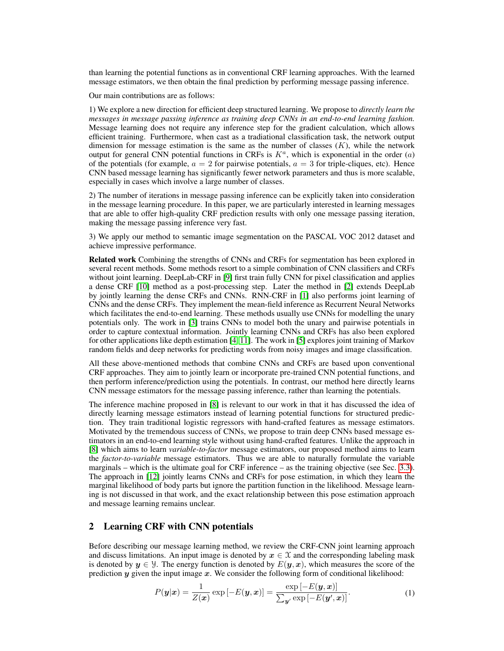than learning the potential functions as in conventional CRF learning approaches. With the learned message estimators, we then obtain the final prediction by performing message passing inference.

Our main contributions are as follows:

1) We explore a new direction for efficient deep structured learning. We propose to *directly learn the messages in message passing inference as training deep CNNs in an end-to-end learning fashion.* Message learning does not require any inference step for the gradient calculation, which allows efficient training. Furthermore, when cast as a tradiational classification task, the network output dimension for message estimation is the same as the number of classes  $(K)$ , while the network output for general CNN potential functions in CRFs is  $K^a$ , which is exponential in the order  $(a)$ of the potentials (for example,  $a = 2$  for pairwise potentials,  $a = 3$  for triple-cliques, etc). Hence CNN based message learning has significantly fewer network parameters and thus is more scalable, especially in cases which involve a large number of classes.

2) The number of iterations in message passing inference can be explicitly taken into consideration in the message learning procedure. In this paper, we are particularly interested in learning messages that are able to offer high-quality CRF prediction results with only one message passing iteration, making the message passing inference very fast.

3) We apply our method to semantic image segmentation on the PASCAL VOC 2012 dataset and achieve impressive performance.

Related work Combining the strengths of CNNs and CRFs for segmentation has been explored in several recent methods. Some methods resort to a simple combination of CNN classifiers and CRFs without joint learning. DeepLab-CRF in [9] first train fully CNN for pixel classification and applies a dense CRF [10] method as a post-processing step. Later the method in [2] extends DeepLab by jointly learning the dense CRFs and CNNs. RNN-CRF in [1] also performs joint learning of CNNs and the dense CRFs. They implement the mean-field inference as Recurrent Neural Networks which facilitates the end-to-end learning. These methods usually use CNNs for modelling the unary potentials only. The work in [3] trains CNNs to model both the unary and pairwise potentials in order to capture contextual information. Jointly learning CNNs and CRFs has also been explored for other applications like depth estimation [4, 11]. The work in [5] explores joint training of Markov random fields and deep networks for predicting words from noisy images and image classification.

All these above-mentioned methods that combine CNNs and CRFs are based upon conventional CRF approaches. They aim to jointly learn or incorporate pre-trained CNN potential functions, and then perform inference/prediction using the potentials. In contrast, our method here directly learns CNN message estimators for the message passing inference, rather than learning the potentials.

The inference machine proposed in [8] is relevant to our work in that it has discussed the idea of directly learning message estimators instead of learning potential functions for structured prediction. They train traditional logistic regressors with hand-crafted features as message estimators. Motivated by the tremendous success of CNNs, we propose to train deep CNNs based message estimators in an end-to-end learning style without using hand-crafted features. Unlike the approach in [8] which aims to learn *variable-to-factor* message estimators, our proposed method aims to learn the *factor-to-variable* message estimators. Thus we are able to naturally formulate the variable marginals – which is the ultimate goal for CRF inference – as the training objective (see Sec. 3.3). The approach in [12] jointly learns CNNs and CRFs for pose estimation, in which they learn the marginal likelihood of body parts but ignore the partition function in the likelihood. Message learning is not discussed in that work, and the exact relationship between this pose estimation approach and message learning remains unclear.

# 2 Learning CRF with CNN potentials

Before describing our message learning method, we review the CRF-CNN joint learning approach and discuss limitations. An input image is denoted by  $x \in \mathcal{X}$  and the corresponding labeling mask is denoted by  $y \in \mathcal{Y}$ . The energy function is denoted by  $E(y, x)$ , which measures the score of the prediction  $y$  given the input image  $x$ . We consider the following form of conditional likelihood:

$$
P(\mathbf{y}|\mathbf{x}) = \frac{1}{Z(\mathbf{x})} \exp\left[-E(\mathbf{y}, \mathbf{x})\right] = \frac{\exp\left[-E(\mathbf{y}, \mathbf{x})\right]}{\sum_{\mathbf{y}'} \exp\left[-E(\mathbf{y}', \mathbf{x})\right]}.
$$
 (1)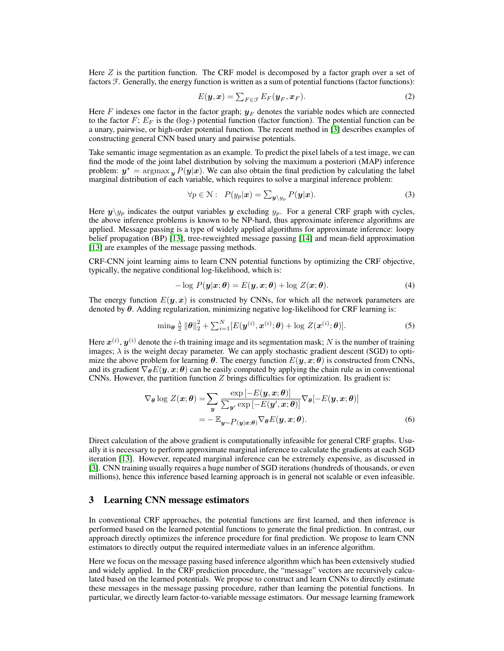Here  $Z$  is the partition function. The CRF model is decomposed by a factor graph over a set of factors F. Generally, the energy function is written as a sum of potential functions (factor functions):

$$
E(\mathbf{y}, \mathbf{x}) = \sum_{F \in \mathcal{F}} E_F(\mathbf{y}_F, \mathbf{x}_F).
$$
 (2)

Here F indexes one factor in the factor graph;  $y_F$  denotes the variable nodes which are connected to the factor  $F$ ;  $E_F$  is the (log-) potential function (factor function). The potential function can be a unary, pairwise, or high-order potential function. The recent method in [3] describes examples of constructing general CNN based unary and pairwise potentials.

Take semantic image segmentation as an example. To predict the pixel labels of a test image, we can find the mode of the joint label distribution by solving the maximum a posteriori (MAP) inference problem:  $y^* = \argmax_y P(y|x)$ . We can also obtain the final prediction by calculating the label marginal distribution of each variable, which requires to solve a marginal inference problem:

$$
\forall p \in \mathcal{N}: \ P(y_p|\mathbf{x}) = \sum_{\mathbf{y} \setminus y_p} P(\mathbf{y}|\mathbf{x}). \tag{3}
$$

Here  $y\backslash y_p$  indicates the output variables y excluding  $y_p$ . For a general CRF graph with cycles, the above inference problems is known to be NP-hard, thus approximate inference algorithms are applied. Message passing is a type of widely applied algorithms for approximate inference: loopy belief propagation (BP) [13], tree-reweighted message passing [14] and mean-field approximation [13] are examples of the message passing methods.

CRF-CNN joint learning aims to learn CNN potential functions by optimizing the CRF objective, typically, the negative conditional log-likelihood, which is:

$$
-\log P(\mathbf{y}|\mathbf{x};\boldsymbol{\theta}) = E(\mathbf{y}, \mathbf{x};\boldsymbol{\theta}) + \log Z(\mathbf{x};\boldsymbol{\theta}). \tag{4}
$$

The energy function  $E(y, x)$  is constructed by CNNs, for which all the network parameters are denoted by  $\theta$ . Adding regularization, minimizing negative log-likelihood for CRF learning is:

$$
\min_{\boldsymbol{\theta}} \frac{\lambda}{2} ||\boldsymbol{\theta}||_2^2 + \sum_{i=1}^N [E(\boldsymbol{y}^{(i)}, \boldsymbol{x}^{(i)}; \boldsymbol{\theta}) + \log Z(\boldsymbol{x}^{(i)}; \boldsymbol{\theta})]. \tag{5}
$$

Here  $\bm{x}^{(i)},\bm{y}^{(i)}$  denote the *i*-th training image and its segmentation mask; N is the number of training images;  $\lambda$  is the weight decay parameter. We can apply stochastic gradient descent (SGD) to optimize the above problem for learning  $\theta$ . The energy function  $E(y, x; \theta)$  is constructed from CNNs, and its gradient  $\nabla_{\theta} E(y, x; \theta)$  can be easily computed by applying the chain rule as in conventional CNNs. However, the partition function  $Z$  brings difficulties for optimization. Its gradient is:

$$
\nabla_{\theta} \log Z(\boldsymbol{x}; \theta) = \sum_{\boldsymbol{y}} \frac{\exp[-E(\boldsymbol{y}, \boldsymbol{x}; \theta)]}{\sum_{\boldsymbol{y}'} \exp[-E(\boldsymbol{y}', \boldsymbol{x}; \theta)]} \nabla_{\theta}[-E(\boldsymbol{y}, \boldsymbol{x}; \theta)]
$$

$$
= -\mathbb{E}_{\boldsymbol{y} \sim P(\boldsymbol{y} | \boldsymbol{x}; \theta)} \nabla_{\theta} E(\boldsymbol{y}, \boldsymbol{x}; \theta). \tag{6}
$$

Direct calculation of the above gradient is computationally infeasible for general CRF graphs. Usually it is necessary to perform approximate marginal inference to calculate the gradients at each SGD iteration [13]. However, repeated marginal inference can be extremely expensive, as discussed in [3]. CNN training usually requires a huge number of SGD iterations (hundreds of thousands, or even millions), hence this inference based learning approach is in general not scalable or even infeasible.

## 3 Learning CNN message estimators

In conventional CRF approaches, the potential functions are first learned, and then inference is performed based on the learned potential functions to generate the final prediction. In contrast, our approach directly optimizes the inference procedure for final prediction. We propose to learn CNN estimators to directly output the required intermediate values in an inference algorithm.

Here we focus on the message passing based inference algorithm which has been extensively studied and widely applied. In the CRF prediction procedure, the "message" vectors are recursively calculated based on the learned potentials. We propose to construct and learn CNNs to directly estimate these messages in the message passing procedure, rather than learning the potential functions. In particular, we directly learn factor-to-variable message estimators. Our message learning framework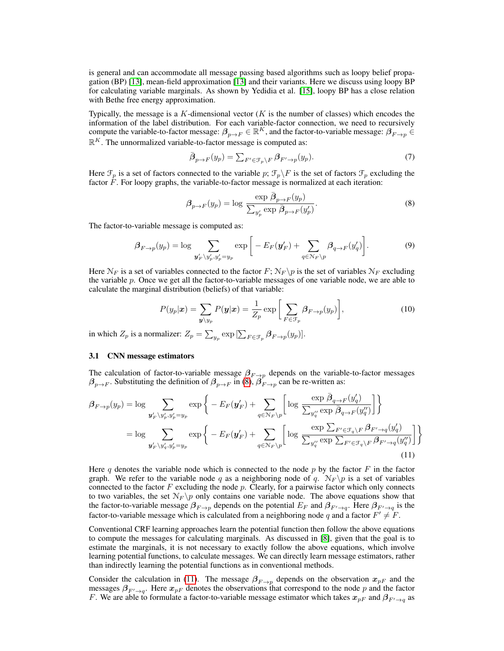is general and can accommodate all message passing based algorithms such as loopy belief propagation (BP) [13], mean-field approximation [13] and their variants. Here we discuss using loopy BP for calculating variable marginals. As shown by Yedidia et al. [15], loopy BP has a close relation with Bethe free energy approximation.

Typically, the message is a  $K$ -dimensional vector  $(K$  is the number of classes) which encodes the information of the label distribution. For each variable-factor connection, we need to recursively compute the variable-to-factor message:  $\beta_{p\to F}\in\mathbb{R}^K$ , and the factor-to-variable message:  $\beta_{F\to p}\in$  $\mathbb{R}^K$ . The unnormalized variable-to-factor message is computed as:

$$
\bar{\boldsymbol{\beta}}_{p \to F}(y_p) = \sum_{F' \in \mathcal{F}_p \backslash F} \boldsymbol{\beta}_{F' \to p}(y_p). \tag{7}
$$

Here  $\mathcal{F}_p$  is a set of factors connected to the variable p;  $\mathcal{F}_p\backslash F$  is the set of factors  $\mathcal{F}_p$  excluding the factor  $\overline{F}$ . For loopy graphs, the variable-to-factor message is normalized at each iteration:

$$
\beta_{p \to F}(y_p) = \log \frac{\exp \bar{\beta}_{p \to F}(y_p)}{\sum_{y'_p} \exp \bar{\beta}_{p \to F}(y'_p)}.
$$
\n(8)

The factor-to-variable message is computed as:

$$
\beta_{F \to p}(y_p) = \log \sum_{\mathbf{y}'_F \backslash y'_p, y'_p = y_p} \exp \bigg[ -E_F(\mathbf{y}'_F) + \sum_{q \in \mathcal{N}_F \backslash p} \beta_{q \to F}(y'_q) \bigg]. \tag{9}
$$

Here  $\mathcal{N}_F$  is a set of variables connected to the factor  $F$ ;  $\mathcal{N}_F \backslash p$  is the set of variables  $\mathcal{N}_F$  excluding the variable p. Once we get all the factor-to-variable messages of one variable node, we are able to calculate the marginal distribution (beliefs) of that variable:

$$
P(y_p|\boldsymbol{x}) = \sum_{\boldsymbol{y} \setminus y_p} P(\boldsymbol{y}|\boldsymbol{x}) = \frac{1}{Z_p} \exp\bigg[\sum_{F \in \mathcal{F}_p} \beta_{F \to p}(y_p)\bigg],\tag{10}
$$

in which  $Z_p$  is a normalizer:  $Z_p = \sum_{y_p} \exp\left[\sum_{F \in \mathcal{F}_p} \beta_{F \to p}(y_p)\right]$ .

### 3.1 CNN message estimators

The calculation of factor-to-variable message  $\beta_{F\to p}$  depends on the variable-to-factor messages  $\beta_{p\to F}$ . Substituting the definition of  $\beta_{p\to F}$  in (8),  $\beta_{F\to p}$  can be re-written as:

$$
\beta_{F \to p}(y_p) = \log \sum_{\mathbf{y}'_F \setminus y'_p, y'_p = y_p} \exp \left\{ -E_F(\mathbf{y}'_F) + \sum_{q \in \mathcal{N}_F \setminus p} \left[ \log \frac{\exp \bar{\beta}_{q \to F}(y'_q)}{\sum_{y''_q} \exp \bar{\beta}_{q \to F}(y''_q)} \right] \right\}
$$
  
\n
$$
= \log \sum_{\mathbf{y}'_F \setminus y'_q, y'_p = y_p} \exp \left\{ -E_F(\mathbf{y}'_F) + \sum_{q \in \mathcal{N}_F \setminus p} \left[ \log \frac{\exp \sum_{F' \in \mathcal{F}_q \setminus F} \beta_{F' \to q}(y'_q)}{\sum_{y''_q} \exp \sum_{F' \in \mathcal{F}_q \setminus F} \beta_{F' \to q}(y''_q)} \right] \right\}
$$
\n(11)

Here q denotes the variable node which is connected to the node  $p$  by the factor  $F$  in the factor graph. We refer to the variable node q as a neighboring node of q.  $N_F \pmb{\triangledown}$  is a set of variables connected to the factor  $F$  excluding the node  $p$ . Clearly, for a pairwise factor which only connects to two variables, the set  $N_F \backslash p$  only contains one variable node. The above equations show that the factor-to-variable message  $\beta_{F\to p}$  depends on the potential  $E_F$  and  $\beta_{F'\to q}$ . Here  $\beta_{F'\to q}$  is the factor-to-variable message which is calculated from a neighboring node q and a factor  $F' \neq F$ .

Conventional CRF learning approaches learn the potential function then follow the above equations to compute the messages for calculating marginals. As discussed in [8], given that the goal is to estimate the marginals, it is not necessary to exactly follow the above equations, which involve learning potential functions, to calculate messages. We can directly learn message estimators, rather than indirectly learning the potential functions as in conventional methods.

Consider the calculation in (11). The message  $\beta_{F\to p}$  depends on the observation  $x_{pF}$  and the messages  $\beta_{F' \to q}$ . Here  $x_{pF}$  denotes the observations that correspond to the node p and the factor F. We are able to formulate a factor-to-variable message estimator which takes  $x_{pF}$  and  $\beta_{F' \to q}$  as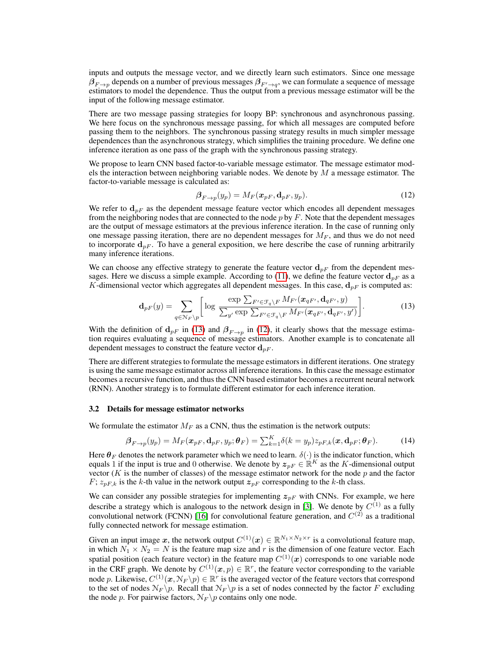inputs and outputs the message vector, and we directly learn such estimators. Since one message  $\beta_{F\to p}$  depends on a number of previous messages  $\beta_{F'\to q},$  we can formulate a sequence of message estimators to model the dependence. Thus the output from a previous message estimator will be the input of the following message estimator.

There are two message passing strategies for loopy BP: synchronous and asynchronous passing. We here focus on the synchronous message passing, for which all messages are computed before passing them to the neighbors. The synchronous passing strategy results in much simpler message dependences than the asynchronous strategy, which simplifies the training procedure. We define one inference iteration as one pass of the graph with the synchronous passing strategy.

We propose to learn CNN based factor-to-variable message estimator. The message estimator models the interaction between neighboring variable nodes. We denote by  $M$  a message estimator. The factor-to-variable message is calculated as:

$$
\beta_{F \to p}(y_p) = M_F(\boldsymbol{x}_{pF}, \mathbf{d}_{pF}, y_p). \tag{12}
$$

We refer to  $d_{pF}$  as the dependent message feature vector which encodes all dependent messages from the neighboring nodes that are connected to the node  $p$  by  $F$ . Note that the dependent messages are the output of message estimators at the previous inference iteration. In the case of running only one message passing iteration, there are no dependent messages for  $M_F$ , and thus we do not need to incorporate  $d_{pF}$ . To have a general exposition, we here describe the case of running arbitrarily many inference iterations.

We can choose any effective strategy to generate the feature vector  $d_{pF}$  from the dependent messages. Here we discuss a simple example. According to (11), we define the feature vector  $d_{pF}$  as a K-dimensional vector which aggregates all dependent messages. In this case,  $d_{pF}$  is computed as:

$$
\mathbf{d}_{pF}(y) = \sum_{q \in \mathcal{N}_F \backslash p} \left[ \log \frac{\exp \sum_{F' \in \mathcal{F}_q \backslash F} M_{F'}(\boldsymbol{x}_{qF'}, \mathbf{d}_{qF'}, y)}{\sum_{y'} \exp \sum_{F' \in \mathcal{F}_q \backslash F} M_{F'}(\boldsymbol{x}_{qF'}, \mathbf{d}_{qF'}, y')} \right]. \tag{13}
$$

With the definition of  $d_{pF}$  in (13) and  $\beta_{F\to p}$  in (12), it clearly shows that the message estimation requires evaluating a sequence of message estimators. Another example is to concatenate all dependent messages to construct the feature vector  $\mathbf{d}_{pF}$ .

There are different strategies to formulate the message estimators in different iterations. One strategy is using the same message estimator across all inference iterations. In this case the message estimator becomes a recursive function, and thus the CNN based estimator becomes a recurrent neural network (RNN). Another strategy is to formulate different estimator for each inference iteration.

#### 3.2 Details for message estimator networks

We formulate the estimator  $M_F$  as a CNN, thus the estimation is the network outputs:

$$
\boldsymbol{\beta}_{F \to p}(y_p) = M_F(\boldsymbol{x}_{pF}, \mathbf{d}_{pF}, y_p; \boldsymbol{\theta}_F) = \sum_{k=1}^{K} \delta(k = y_p) z_{pF,k}(\boldsymbol{x}, \mathbf{d}_{pF}; \boldsymbol{\theta}_F).
$$
(14)

Here  $\theta_F$  denotes the network parameter which we need to learn.  $\delta(\cdot)$  is the indicator function, which equals 1 if the input is true and 0 otherwise. We denote by  $z_{pF} \in \mathbb{R}^K$  as the K-dimensional output vector ( $K$  is the number of classes) of the message estimator network for the node  $p$  and the factor  $F$ ;  $z_{pF,k}$  is the k-th value in the network output  $z_{pF}$  corresponding to the k-th class.

We can consider any possible strategies for implementing  $z_{pF}$  with CNNs. For example, we here describe a strategy which is analogous to the network design in [3]. We denote by  $C^{(1)}$  as a fully convolutional network (FCNN) [16] for convolutional feature generation, and  $C^{(2)}$  as a traditional fully connected network for message estimation.

Given an input image x, the network output  $C^{(1)}(x) \in \mathbb{R}^{N_1 \times N_2 \times r}$  is a convolutional feature map, in which  $N_1 \times N_2 = N$  is the feature map size and r is the dimension of one feature vector. Each spatial position (each feature vector) in the feature map  $C^{(1)}(x)$  corresponds to one variable node in the CRF graph. We denote by  $C^{(1)}(\mathbf{x}, p) \in \mathbb{R}^r$ , the feature vector corresponding to the variable node p. Likewise,  $C^{(1)}(x, N_F \backslash p) \in \mathbb{R}^r$  is the averaged vector of the feature vectors that correspond to the set of nodes  $\mathcal{N}_F \backslash p$ . Recall that  $\mathcal{N}_F \backslash p$  is a set of nodes connected by the factor F excluding the node p. For pairwise factors,  $N_F \pmb{\setminus} p$  contains only one node.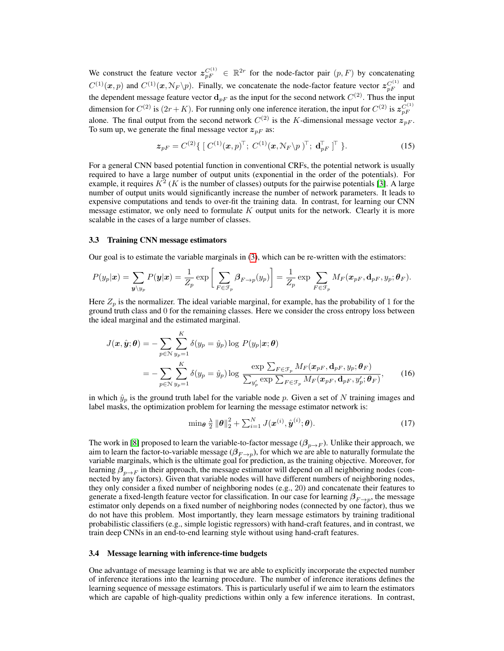We construct the feature vector  $z_{pF}^{C^{(1)}} \in \mathbb{R}^{2r}$  for the node-factor pair  $(p, F)$  by concatenating  $C^{(1)}(\mathbf{x},p)$  and  $C^{(1)}(\mathbf{x},\mathcal{N}_F \backslash p)$ . Finally, we concatenate the node-factor feature vector  $z_{pF}^{C^{(1)}}$  and the dependent message feature vector  $\mathbf{d}_{pF}$  as the input for the second network  $C^{(2)}$ . Thus the input dimension for  $C^{(2)}$  is  $(2r+K)$ . For running only one inference iteration, the input for  $C^{(2)}$  is  $z_{pF}^{C^{(1)}}$ alone. The final output from the second network  $C^{(2)}$  is the K-dimensional message vector  $z_{pF}$ . To sum up, we generate the final message vector  $z_{pF}$  as:

$$
\boldsymbol{z}_{pF} = C^{(2)} \{ [ C^{(1)}(\boldsymbol{x}, p)^{\top}; C^{(1)}(\boldsymbol{x}, \mathcal{N}_F \backslash p)^{\top}; \mathbf{d}_{pF}^{\top} ]^{\top} \}.
$$
 (15)

For a general CNN based potential function in conventional CRFs, the potential network is usually required to have a large number of output units (exponential in the order of the potentials). For example, it requires  $K^2$  (K is the number of classes) outputs for the pairwise potentials [3]. A large number of output units would significantly increase the number of network parameters. It leads to expensive computations and tends to over-fit the training data. In contrast, for learning our CNN message estimator, we only need to formulate  $K$  output units for the network. Clearly it is more scalable in the cases of a large number of classes.

#### 3.3 Training CNN message estimators

Our goal is to estimate the variable marginals in (3), which can be re-written with the estimators:

$$
P(y_p|\boldsymbol{x}) = \sum_{\boldsymbol{y} \setminus y_p} P(\boldsymbol{y}|\boldsymbol{x}) = \frac{1}{Z_p} \exp \bigg[ \sum_{F \in \mathcal{F}_p} \beta_{F \to p}(y_p) \bigg] = \frac{1}{Z_p} \exp \sum_{F \in \mathcal{F}_p} M_F(\boldsymbol{x}_{pF}, \mathbf{d}_{pF}, y_p; \boldsymbol{\theta}_F).
$$

Here  $Z_p$  is the normalizer. The ideal variable marginal, for example, has the probability of 1 for the ground truth class and 0 for the remaining classes. Here we consider the cross entropy loss between the ideal marginal and the estimated marginal.

$$
J(\boldsymbol{x}, \hat{\boldsymbol{y}}; \boldsymbol{\theta}) = -\sum_{p \in \mathcal{N}} \sum_{y_p=1}^{K} \delta(y_p = \hat{y}_p) \log P(y_p | \boldsymbol{x}; \boldsymbol{\theta})
$$
  
= 
$$
-\sum_{p \in \mathcal{N}} \sum_{y_p=1}^{K} \delta(y_p = \hat{y}_p) \log \frac{\exp \sum_{F \in \mathcal{F}_p} M_F(\boldsymbol{x}_{pF}, \mathbf{d}_{pF}, y_p; \boldsymbol{\theta}_F)}{\sum_{y'_p} \exp \sum_{F \in \mathcal{F}_p} M_F(\boldsymbol{x}_{pF}, \mathbf{d}_{pF}, y'_p; \boldsymbol{\theta}_F)}, \qquad (16)
$$

in which  $\hat{y}_p$  is the ground truth label for the variable node p. Given a set of N training images and label masks, the optimization problem for learning the message estimator network is:

$$
\min_{\boldsymbol{\theta}} \frac{\lambda}{2} \|\boldsymbol{\theta}\|_2^2 + \sum_{i=1}^N J(\boldsymbol{x}^{(i)}, \hat{\boldsymbol{y}}^{(i)}; \boldsymbol{\theta}). \tag{17}
$$

The work in [8] proposed to learn the variable-to-factor message ( $\beta_{p\to F}$ ). Unlike their approach, we aim to learn the factor-to-variable message  $(\beta_{F\to p}),$  for which we are able to naturally formulate the variable marginals, which is the ultimate goal for prediction, as the training objective. Moreover, for learning  $\beta_{n\to F}$  in their approach, the message estimator will depend on all neighboring nodes (connected by any factors). Given that variable nodes will have different numbers of neighboring nodes, they only consider a fixed number of neighboring nodes (e.g., 20) and concatenate their features to generate a fixed-length feature vector for classification. In our case for learning  $\beta_{F\to p}$ , the message estimator only depends on a fixed number of neighboring nodes (connected by one factor), thus we do not have this problem. Most importantly, they learn message estimators by training traditional probabilistic classifiers (e.g., simple logistic regressors) with hand-craft features, and in contrast, we train deep CNNs in an end-to-end learning style without using hand-craft features.

#### 3.4 Message learning with inference-time budgets

One advantage of message learning is that we are able to explicitly incorporate the expected number of inference iterations into the learning procedure. The number of inference iterations defines the learning sequence of message estimators. This is particularly useful if we aim to learn the estimators which are capable of high-quality predictions within only a few inference iterations. In contrast,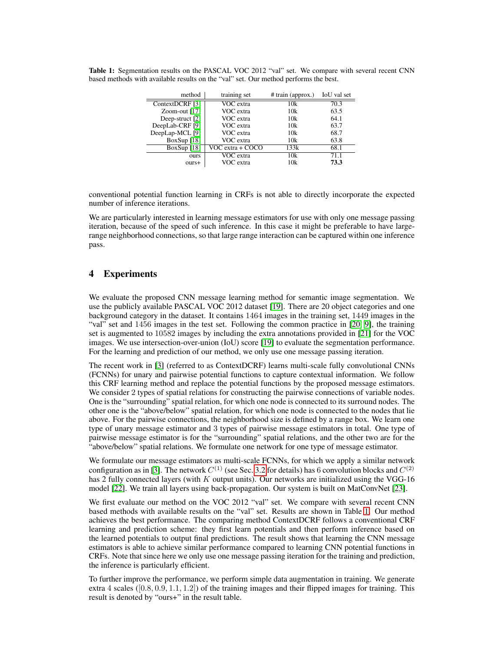Table 1: Segmentation results on the PASCAL VOC 2012 "val" set. We compare with several recent CNN based methods with available results on the "val" set. Our method performs the best.

| method                     | training set         | # train (approx.) | IoU val set |  |  |
|----------------------------|----------------------|-------------------|-------------|--|--|
| ContextDCRF [3]            | VOC extra            | 10k               | 70.3        |  |  |
| Zoom-out [17]              | VOC extra            | 10k               | 63.5        |  |  |
| Deep-struct [2]            | VOC extra            | 10k               | 64.1        |  |  |
| DeepLab-CRF [9]            | VOC extra            | 10k               | 63.7        |  |  |
| DeepLap-MCL <sup>[9]</sup> | VOC extra            | 10k               | 68.7        |  |  |
| BoxSup $[18]$              | VOC extra            | 10k               | 63.8        |  |  |
| BoxSup $[18]$              | $VOC$ extra + $COCO$ | 133k              | 68.1        |  |  |
| <b>OUTS</b>                | VOC extra            | 10k               | 71.1        |  |  |
| ours+                      | VOC extra            | 10k               | 73.3        |  |  |

conventional potential function learning in CRFs is not able to directly incorporate the expected number of inference iterations.

We are particularly interested in learning message estimators for use with only one message passing iteration, because of the speed of such inference. In this case it might be preferable to have largerange neighborhood connections, so that large range interaction can be captured within one inference pass.

# 4 Experiments

We evaluate the proposed CNN message learning method for semantic image segmentation. We use the publicly available PASCAL VOC 2012 dataset [19]. There are 20 object categories and one background category in the dataset. It contains 1464 images in the training set, 1449 images in the "val" set and 1456 images in the test set. Following the common practice in [20, 9], the training set is augmented to 10582 images by including the extra annotations provided in [21] for the VOC images. We use intersection-over-union (IoU) score [19] to evaluate the segmentation performance. For the learning and prediction of our method, we only use one message passing iteration.

The recent work in [3] (referred to as ContextDCRF) learns multi-scale fully convolutional CNNs (FCNNs) for unary and pairwise potential functions to capture contextual information. We follow this CRF learning method and replace the potential functions by the proposed message estimators. We consider 2 types of spatial relations for constructing the pairwise connections of variable nodes. One is the "surrounding" spatial relation, for which one node is connected to its surround nodes. The other one is the "above/below" spatial relation, for which one node is connected to the nodes that lie above. For the pairwise connections, the neighborhood size is defined by a range box. We learn one type of unary message estimator and 3 types of pairwise message estimators in total. One type of pairwise message estimator is for the "surrounding" spatial relations, and the other two are for the "above/below" spatial relations. We formulate one network for one type of message estimator.

We formulate our message estimators as multi-scale FCNNs, for which we apply a similar network configuration as in [3]. The network  $C^{(1)}$  (see Sec. 3.2 for details) has 6 convolution blocks and  $C^{(2)}$ has 2 fully connected layers (with K output units). Our networks are initialized using the VGG-16 model [22]. We train all layers using back-propagation. Our system is built on MatConvNet [23].

We first evaluate our method on the VOC 2012 "val" set. We compare with several recent CNN based methods with available results on the "val" set. Results are shown in Table 1. Our method achieves the best performance. The comparing method ContextDCRF follows a conventional CRF learning and prediction scheme: they first learn potentials and then perform inference based on the learned potentials to output final predictions. The result shows that learning the CNN message estimators is able to achieve similar performance compared to learning CNN potential functions in CRFs. Note that since here we only use one message passing iteration for the training and prediction, the inference is particularly efficient.

To further improve the performance, we perform simple data augmentation in training. We generate extra 4 scales  $(0.8, 0.9, 1.1, 1.2)$  of the training images and their flipped images for training. This result is denoted by "ours+" in the result table.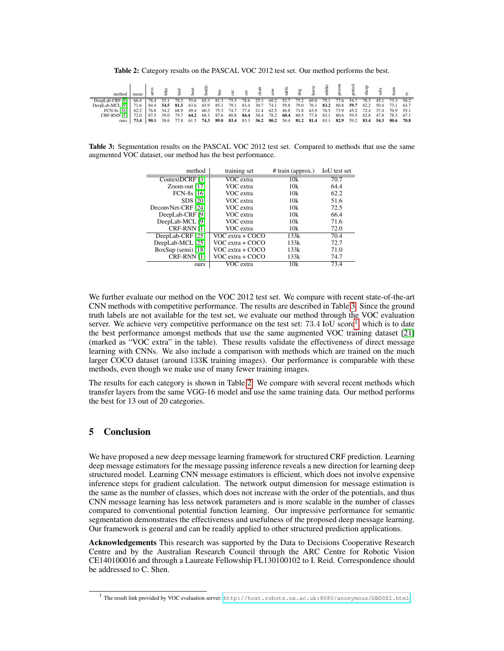Table 2: Category results on the PASCAL VOC 2012 test set. Our method performs the best.

| method          | mean                                                                                                     |      |  |                                                                  |  |  |  | able<br>10g<br>10g |      |      |                | nbik<br>persone belang sepanjang sepanjang sepanjang sepanjang sepanjang sepanjang sepanjang sepanjang sepanjang sepan<br>persone sepanjan sepanjan sepanjan sepanjan sepanjan sepanjan sepanjan sepanjan sepanjan sepanjan sepanjan |           |                               |  |
|-----------------|----------------------------------------------------------------------------------------------------------|------|--|------------------------------------------------------------------|--|--|--|--------------------|------|------|----------------|--------------------------------------------------------------------------------------------------------------------------------------------------------------------------------------------------------------------------------------|-----------|-------------------------------|--|
| DeepLab-CRF [9] | 66.4                                                                                                     | 78.4 |  | 33.1 78.2 55.6 65.3 81.3 75.5 78.6 25.3 69.2 52.7 75.2           |  |  |  |                    | 69.0 |      | 79.1 77.6 54.7 |                                                                                                                                                                                                                                      |           | 78.3 45.1 73.3 56.2           |  |
| DeepLab-MCL [9] | 71.6 84.4 54.5 81.5 63.6 65.9 85.1 79.1 83.4 30.7 74.1 59.8 79.0                                         |      |  |                                                                  |  |  |  |                    | 76.1 | 83.2 |                |                                                                                                                                                                                                                                      |           | 80.8 59.7 82.2 50.4 73.1 63.7 |  |
| FCN-8s [16]     | 62.2 76.8 34.2 68.9 49.4 60.3 75.3 74.7 77.6 21.4 62.5 46.8 71.8 63.9 76.5 73.9 45.2 72.4 37.4 70.9 55.1 |      |  |                                                                  |  |  |  |                    |      |      |                |                                                                                                                                                                                                                                      |           |                               |  |
| CRF-RNN [1]     | 72.0                                                                                                     | 87.5 |  | 39.0 79.7 64.2 68.3 87.6 80.8 84.4 30.4 78.2 60.4                |  |  |  | 80.5               | 77.8 | 83.1 |                |                                                                                                                                                                                                                                      |           | 80.6 59.5 82.8 47.8 78.3 67.1 |  |
| ours            | 73.4 l                                                                                                   | 90.1 |  | 38.6 77.8 61.3 74.3 89.0 83.4 83.3 36.2 80.2 56.4 81.2 81.4 83.1 |  |  |  |                    |      |      | 82.9           |                                                                                                                                                                                                                                      | 59.2 83.4 | 54.3 80.6 70.8                |  |

Table 3: Segmentation results on the PASCAL VOC 2012 test set. Compared to methods that use the same augmented VOC dataset, our method has the best performance.

| method               | training set     | # train (approx.) | IoU test set |
|----------------------|------------------|-------------------|--------------|
| ContextDCRF [3]      | VOC extra        | 10k               | 70.7         |
| Zoom-out $[17]$      | VOC extra        | 10k               | 64.4         |
| FCN-8s [16]          | VOC extra        | 10k               | 62.2         |
| <b>SDS</b> [20]      | VOC extra        | 10k               | 51.6         |
| DeconvNet-CRF [24]   | VOC extra        | 10k               | 72.5         |
| DeepLab-CRF [9]      | VOC extra        | 10k               | 66.4         |
| DeepLab-MCL [9]      | VOC extra        | 10k               | 71.6         |
| CRF-RNN [1]          | VOC extra        | 10k               | 72.0         |
| DeepLab-CRF [25]     | VOC extra + COCO | 133k              | 70.4         |
| DeepLab-MCL [25]     | VOC extra + COCO | 133k              | 72.7         |
| $BoxSup$ (semi) [18] | VOC extra + COCO | 133k              | 71.0         |
| CRF-RNN [1]          | VOC extra + COCO | 133k              | 74.7         |
| ours                 | VOC extra        | 10k               | 73.4         |

We further evaluate our method on the VOC 2012 test set. We compare with recent state-of-the-art CNN methods with competitive performance. The results are described in Table 3. Since the ground truth labels are not available for the test set, we evaluate our method through the VOC evaluation server. We achieve very competitive performance on the test set: 73.4 IoU score<sup>1</sup>, which is to date the best performance amongst methods that use the same augmented VOC training dataset [21] (marked as "VOC extra" in the table). These results validate the effectiveness of direct message learning with CNNs. We also include a comparison with methods which are trained on the much larger COCO dataset (around 133K training images). Our performance is comparable with these methods, even though we make use of many fewer training images.

The results for each category is shown in Table 2. We compare with several recent methods which transfer layers from the same VGG-16 model and use the same training data. Our method performs the best for 13 out of 20 categories.

## 5 Conclusion

We have proposed a new deep message learning framework for structured CRF prediction. Learning deep message estimators for the message passing inference reveals a new direction for learning deep structured model. Learning CNN message estimators is efficient, which does not involve expensive inference steps for gradient calculation. The network output dimension for message estimation is the same as the number of classes, which does not increase with the order of the potentials, and thus CNN message learning has less network parameters and is more scalable in the number of classes compared to conventional potential function learning. Our impressive performance for semantic segmentation demonstrates the effectiveness and usefulness of the proposed deep message learning. Our framework is general and can be readily applied to other structured prediction applications.

Acknowledgements This research was supported by the Data to Decisions Cooperative Research Centre and by the Australian Research Council through the ARC Centre for Robotic Vision CE140100016 and through a Laureate Fellowship FL130100102 to I. Reid. Correspondence should be addressed to C. Shen.

<sup>&</sup>lt;sup>1</sup> The result link provided by VOC evaluation server: <http://host.robots.ox.ac.uk:8080/anonymous/DBD0SI.html>